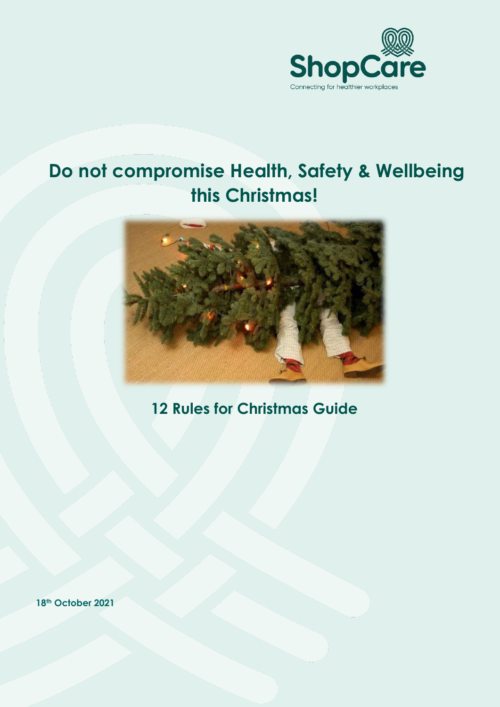

## **Do not compromise Health, Safety & Wellbeing this Christmas!**



## **12 Rules for Christmas Guide**

**18th October 2021**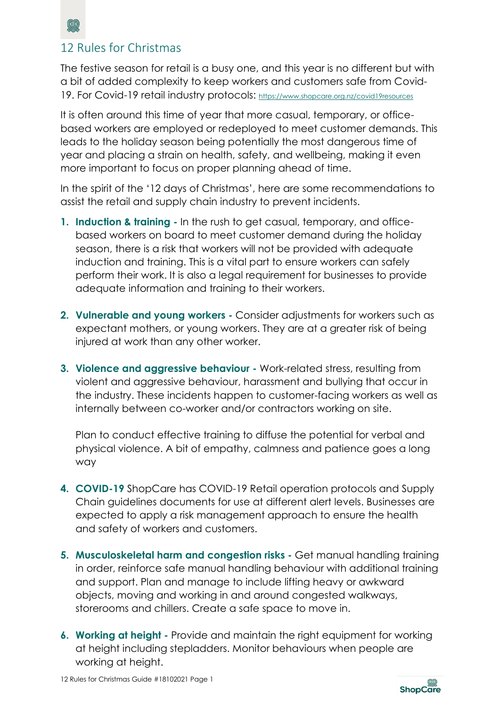

## 12 Rules for Christmas

The festive season for retail is a busy one, and this year is no different but with a bit of added complexity to keep workers and customers safe from Covid-19. For Covid-19 retail industry protocols: <https://www.shopcare.org.nz/covid19resources>

It is often around this time of year that more casual, temporary, or officebased workers are employed or redeployed to meet customer demands. This leads to the holiday season being potentially the most dangerous time of year and placing a strain on health, safety, and wellbeing, making it even more important to focus on proper planning ahead of time.

In the spirit of the '12 days of Christmas', here are some recommendations to assist the retail and supply chain industry to prevent incidents.

- **1. Induction & training -** In the rush to get casual, temporary, and officebased workers on board to meet customer demand during the holiday season, there is a risk that workers will not be provided with adequate induction and training. This is a vital part to ensure workers can safely perform their work. It is also a legal requirement for businesses to provide adequate information and training to their workers.
- **2. Vulnerable and young workers -** Consider adjustments for workers such as expectant mothers, or young workers. They are at a greater risk of being injured at work than any other worker.
- **3. Violence and aggressive behaviour -** Work-related stress, resulting from violent and aggressive behaviour, harassment and bullying that occur in the industry. These incidents happen to customer-facing workers as well as internally between co-worker and/or contractors working on site.

Plan to conduct effective training to diffuse the potential for verbal and physical violence. A bit of empathy, calmness and patience goes a long way

- **4. COVID-19** ShopCare has COVID-19 Retail operation protocols and Supply Chain guidelines documents for use at different alert levels. Businesses are expected to apply a risk management approach to ensure the health and safety of workers and customers.
- **5. Musculoskeletal harm and congestion risks -** Get manual handling training in order, reinforce safe manual handling behaviour with additional training and support. Plan and manage to include lifting heavy or awkward objects, moving and working in and around congested walkways, storerooms and chillers. Create a safe space to move in.
- **6. Working at height -** Provide and maintain the right equipment for working at height including stepladders. Monitor behaviours when people are working at height.